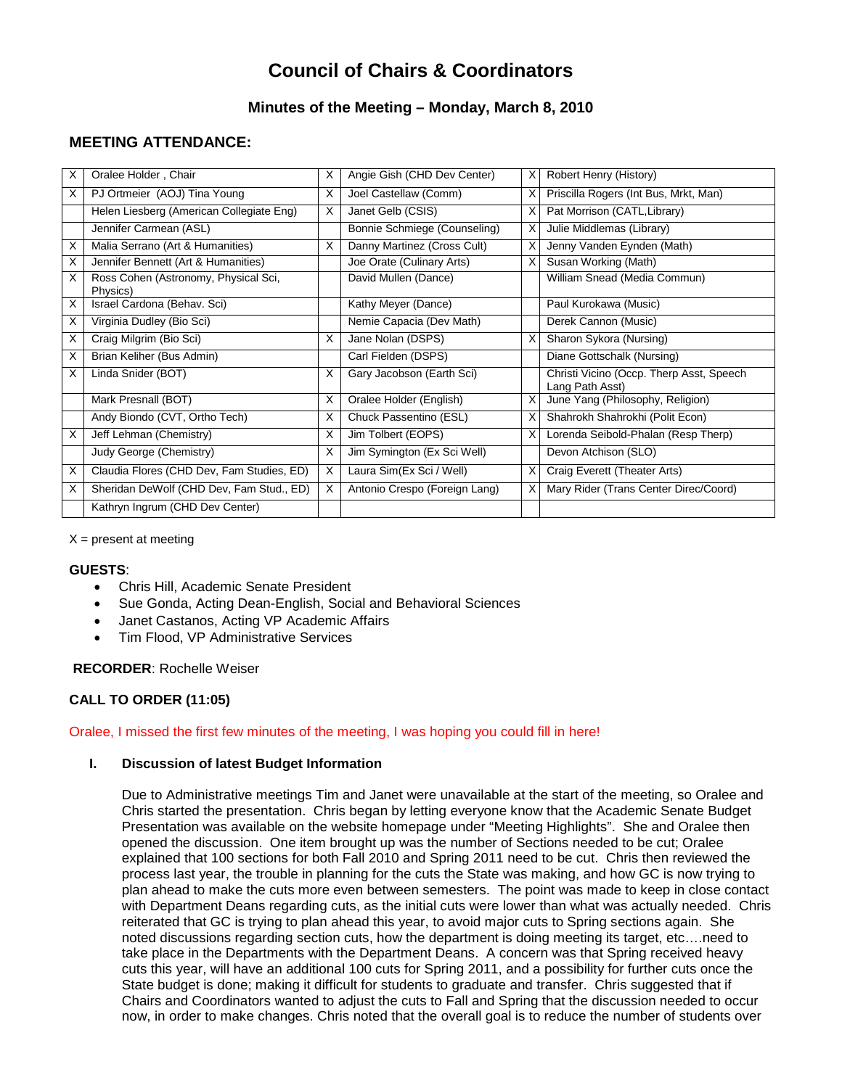# **Council of Chairs & Coordinators**

# **Minutes of the Meeting – Monday, March 8, 2010**

# **MEETING ATTENDANCE:**

| X | Oralee Holder, Chair                             | X | Angie Gish (CHD Dev Center)   | X | Robert Henry (History)                                      |
|---|--------------------------------------------------|---|-------------------------------|---|-------------------------------------------------------------|
| X | PJ Ortmeier (AOJ) Tina Young                     | X | Joel Castellaw (Comm)         | X | Priscilla Rogers (Int Bus, Mrkt, Man)                       |
|   | Helen Liesberg (American Collegiate Eng)         | X | Janet Gelb (CSIS)             | X | Pat Morrison (CATL, Library)                                |
|   | Jennifer Carmean (ASL)                           |   | Bonnie Schmiege (Counseling)  | X | Julie Middlemas (Library)                                   |
| X | Malia Serrano (Art & Humanities)                 | X | Danny Martinez (Cross Cult)   | X | Jenny Vanden Eynden (Math)                                  |
| X | Jennifer Bennett (Art & Humanities)              |   | Joe Orate (Culinary Arts)     | X | Susan Working (Math)                                        |
| X | Ross Cohen (Astronomy, Physical Sci,<br>Physics) |   | David Mullen (Dance)          |   | William Snead (Media Commun)                                |
| X | Israel Cardona (Behav. Sci)                      |   | Kathy Meyer (Dance)           |   | Paul Kurokawa (Music)                                       |
| X | Virginia Dudley (Bio Sci)                        |   | Nemie Capacia (Dev Math)      |   | Derek Cannon (Music)                                        |
| X | Craig Milgrim (Bio Sci)                          | X | Jane Nolan (DSPS)             | X | Sharon Sykora (Nursing)                                     |
| X | Brian Keliher (Bus Admin)                        |   | Carl Fielden (DSPS)           |   | Diane Gottschalk (Nursing)                                  |
| X | Linda Snider (BOT)                               | X | Gary Jacobson (Earth Sci)     |   | Christi Vicino (Occp. Therp Asst, Speech<br>Lang Path Asst) |
|   | Mark Presnall (BOT)                              | X | Oralee Holder (English)       | X | June Yang (Philosophy, Religion)                            |
|   | Andy Biondo (CVT, Ortho Tech)                    | X | Chuck Passentino (ESL)        |   | Shahrokh Shahrokhi (Polit Econ)                             |
| X | Jeff Lehman (Chemistry)                          | X | Jim Tolbert (EOPS)            |   | Lorenda Seibold-Phalan (Resp Therp)                         |
|   | Judy George (Chemistry)                          | X | Jim Symington (Ex Sci Well)   |   | Devon Atchison (SLO)                                        |
| X | Claudia Flores (CHD Dev, Fam Studies, ED)        | X | Laura Sim (Ex Sci / Well)     | X | Craig Everett (Theater Arts)                                |
| X | Sheridan DeWolf (CHD Dev, Fam Stud., ED)         | X | Antonio Crespo (Foreign Lang) | X | Mary Rider (Trans Center Direc/Coord)                       |
|   | Kathryn Ingrum (CHD Dev Center)                  |   |                               |   |                                                             |

 $X =$  present at meeting

## **GUESTS**:

- Chris Hill, Academic Senate President
- Sue Gonda, Acting Dean-English, Social and Behavioral Sciences
- Janet Castanos, Acting VP Academic Affairs
- Tim Flood, VP Administrative Services

**RECORDER**: Rochelle Weiser

## **CALL TO ORDER (11:05)**

#### Oralee, I missed the first few minutes of the meeting, I was hoping you could fill in here!

## **I. Discussion of latest Budget Information**

Due to Administrative meetings Tim and Janet were unavailable at the start of the meeting, so Oralee and Chris started the presentation. Chris began by letting everyone know that the Academic Senate Budget Presentation was available on the website homepage under "Meeting Highlights". She and Oralee then opened the discussion. One item brought up was the number of Sections needed to be cut; Oralee explained that 100 sections for both Fall 2010 and Spring 2011 need to be cut. Chris then reviewed the process last year, the trouble in planning for the cuts the State was making, and how GC is now trying to plan ahead to make the cuts more even between semesters. The point was made to keep in close contact with Department Deans regarding cuts, as the initial cuts were lower than what was actually needed. Chris reiterated that GC is trying to plan ahead this year, to avoid major cuts to Spring sections again. She noted discussions regarding section cuts, how the department is doing meeting its target, etc….need to take place in the Departments with the Department Deans. A concern was that Spring received heavy cuts this year, will have an additional 100 cuts for Spring 2011, and a possibility for further cuts once the State budget is done; making it difficult for students to graduate and transfer. Chris suggested that if Chairs and Coordinators wanted to adjust the cuts to Fall and Spring that the discussion needed to occur now, in order to make changes. Chris noted that the overall goal is to reduce the number of students over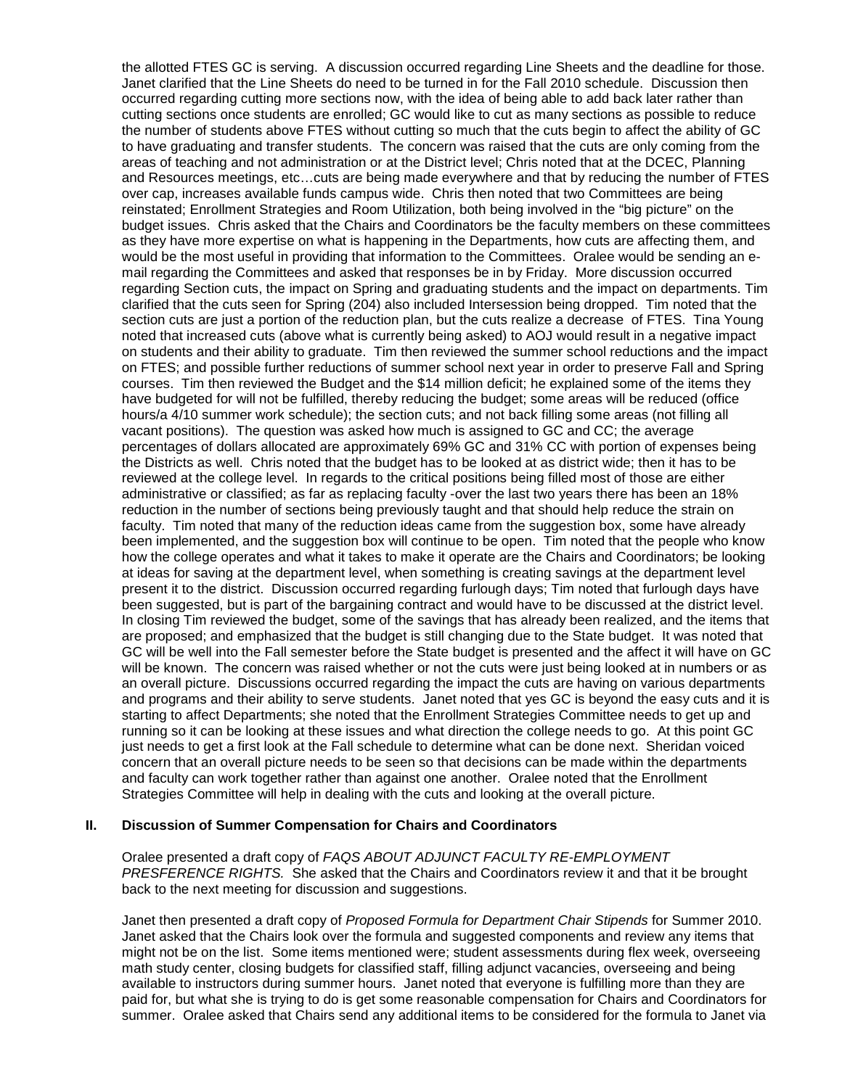the allotted FTES GC is serving. A discussion occurred regarding Line Sheets and the deadline for those. Janet clarified that the Line Sheets do need to be turned in for the Fall 2010 schedule. Discussion then occurred regarding cutting more sections now, with the idea of being able to add back later rather than cutting sections once students are enrolled; GC would like to cut as many sections as possible to reduce the number of students above FTES without cutting so much that the cuts begin to affect the ability of GC to have graduating and transfer students. The concern was raised that the cuts are only coming from the areas of teaching and not administration or at the District level; Chris noted that at the DCEC, Planning and Resources meetings, etc…cuts are being made everywhere and that by reducing the number of FTES over cap, increases available funds campus wide. Chris then noted that two Committees are being reinstated; Enrollment Strategies and Room Utilization, both being involved in the "big picture" on the budget issues. Chris asked that the Chairs and Coordinators be the faculty members on these committees as they have more expertise on what is happening in the Departments, how cuts are affecting them, and would be the most useful in providing that information to the Committees. Oralee would be sending an email regarding the Committees and asked that responses be in by Friday. More discussion occurred regarding Section cuts, the impact on Spring and graduating students and the impact on departments. Tim clarified that the cuts seen for Spring (204) also included Intersession being dropped. Tim noted that the section cuts are just a portion of the reduction plan, but the cuts realize a decrease of FTES. Tina Young noted that increased cuts (above what is currently being asked) to AOJ would result in a negative impact on students and their ability to graduate. Tim then reviewed the summer school reductions and the impact on FTES; and possible further reductions of summer school next year in order to preserve Fall and Spring courses. Tim then reviewed the Budget and the \$14 million deficit; he explained some of the items they have budgeted for will not be fulfilled, thereby reducing the budget; some areas will be reduced (office hours/a 4/10 summer work schedule); the section cuts; and not back filling some areas (not filling all vacant positions). The question was asked how much is assigned to GC and CC; the average percentages of dollars allocated are approximately 69% GC and 31% CC with portion of expenses being the Districts as well. Chris noted that the budget has to be looked at as district wide; then it has to be reviewed at the college level. In regards to the critical positions being filled most of those are either administrative or classified; as far as replacing faculty -over the last two years there has been an 18% reduction in the number of sections being previously taught and that should help reduce the strain on faculty. Tim noted that many of the reduction ideas came from the suggestion box, some have already been implemented, and the suggestion box will continue to be open. Tim noted that the people who know how the college operates and what it takes to make it operate are the Chairs and Coordinators; be looking at ideas for saving at the department level, when something is creating savings at the department level present it to the district. Discussion occurred regarding furlough days; Tim noted that furlough days have been suggested, but is part of the bargaining contract and would have to be discussed at the district level. In closing Tim reviewed the budget, some of the savings that has already been realized, and the items that are proposed; and emphasized that the budget is still changing due to the State budget. It was noted that GC will be well into the Fall semester before the State budget is presented and the affect it will have on GC will be known. The concern was raised whether or not the cuts were just being looked at in numbers or as an overall picture. Discussions occurred regarding the impact the cuts are having on various departments and programs and their ability to serve students. Janet noted that yes GC is beyond the easy cuts and it is starting to affect Departments; she noted that the Enrollment Strategies Committee needs to get up and running so it can be looking at these issues and what direction the college needs to go. At this point GC just needs to get a first look at the Fall schedule to determine what can be done next. Sheridan voiced concern that an overall picture needs to be seen so that decisions can be made within the departments and faculty can work together rather than against one another. Oralee noted that the Enrollment Strategies Committee will help in dealing with the cuts and looking at the overall picture.

#### **II. Discussion of Summer Compensation for Chairs and Coordinators**

Oralee presented a draft copy of *FAQS ABOUT ADJUNCT FACULTY RE-EMPLOYMENT PRESFERENCE RIGHTS.* She asked that the Chairs and Coordinators review it and that it be brought back to the next meeting for discussion and suggestions.

Janet then presented a draft copy of *Proposed Formula for Department Chair Stipends* for Summer 2010. Janet asked that the Chairs look over the formula and suggested components and review any items that might not be on the list. Some items mentioned were; student assessments during flex week, overseeing math study center, closing budgets for classified staff, filling adjunct vacancies, overseeing and being available to instructors during summer hours. Janet noted that everyone is fulfilling more than they are paid for, but what she is trying to do is get some reasonable compensation for Chairs and Coordinators for summer. Oralee asked that Chairs send any additional items to be considered for the formula to Janet via